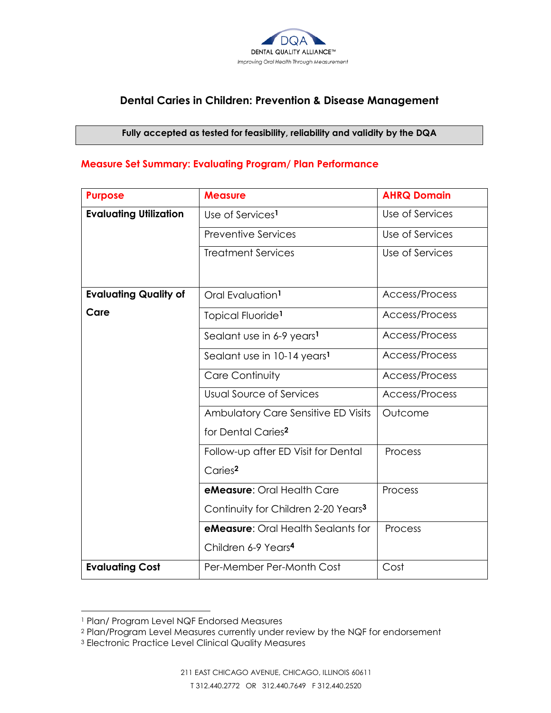

# **Dental Caries in Children: Prevention & Disease Management**

#### **Fully accepted as tested for feasibility, reliability and validity by the DQA**

## **Measure Set Summary: Evaluating Program/ Plan Performance**

| <b>Purpose</b>                | <b>Measure</b>                                  | <b>AHRQ Domain</b> |
|-------------------------------|-------------------------------------------------|--------------------|
| <b>Evaluating Utilization</b> | Use of Services <sup>1</sup>                    | Use of Services    |
|                               | <b>Preventive Services</b>                      | Use of Services    |
|                               | <b>Treatment Services</b>                       | Use of Services    |
|                               |                                                 |                    |
| <b>Evaluating Quality of</b>  | Oral Evaluation <sup>1</sup>                    | Access/Process     |
| Care                          | Topical Fluoride <sup>1</sup>                   | Access/Process     |
|                               | Sealant use in 6-9 years <sup>1</sup>           | Access/Process     |
|                               | Sealant use in 10-14 years <sup>1</sup>         | Access/Process     |
|                               | Care Continuity                                 | Access/Process     |
|                               | <b>Usual Source of Services</b>                 | Access/Process     |
|                               | Ambulatory Care Sensitive ED Visits             | Outcome            |
|                               | for Dental Caries <sup>2</sup>                  |                    |
|                               | Follow-up after ED Visit for Dental             | Process            |
|                               | Caries <sup>2</sup>                             |                    |
|                               | eMeasure: Oral Health Care                      | Process            |
|                               | Continuity for Children 2-20 Years <sup>3</sup> |                    |
|                               | <b>eMeasure:</b> Oral Health Sealants for       | Process            |
|                               | Children 6-9 Years <sup>4</sup>                 |                    |
| <b>Evaluating Cost</b>        | Per-Member Per-Month Cost                       | Cost               |

l

<sup>1</sup> Plan/ Program Level NQF Endorsed Measures

<sup>2</sup> Plan/Program Level Measures currently under review by the NQF for endorsement

<sup>3</sup> Electronic Practice Level Clinical Quality Measures